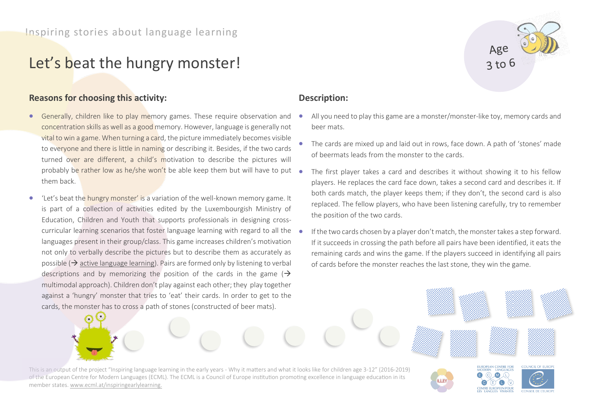# Let's beat the hungry monster!

### **Reasons for choosing this activity:**

- Generally, children like to play memory games. These require observation and concentration skills as well as a good memory. However, language is generally not vital to win a game. When turning a card, the picture immediately becomes visible to everyone and there is little in naming or describing it. Besides, if the two cards turned over are different, a child's motivation to describe the pictures will probably be rather low as he/she won't be able keep them but will have to put  $\bullet$ them back.
- 'Let's beat the hungry monster' is a variation of the well-known memory game. It is part of a collection of activities edited by the Luxembourgish Ministry of Education, Children and Youth that supports professionals in designing crosscurricular learning scenarios that foster language learning with regard to all the languages present in their group/class. This game increases children's motivation not only to verbally describe the pictures but to describe them as accurately as possible ( $\rightarrow$  active language learning). Pairs are formed only by listening to verbal descriptions and by memorizing the position of the cards in the game ( $\rightarrow$ multimodal approach). Children don't play against each other; they play together against a 'hungry' monster that tries to 'eat' their cards. In order to get to the cards, the monster has to cross a path of stones (constructed of beer mats).

### **Description:**

• All you need to play this game are a monster/monster-like toy, memory cards and beer mats.

 $3$  to 6

EUROPEAN CENTRE FOR

COUNCIL OF FURC

- The cards are mixed up and laid out in rows, face down. A path of 'stones' made of beermats leads from the monster to the cards.
- The first player takes a card and describes it without showing it to his fellow players. He replaces the card face down, takes a second card and describes it. If both cards match, the player keeps them; if they don't, the second card is also replaced. The fellow players, who have been listening carefully, try to remember the position of the two cards.
- If the two cards chosen by a player don't match, the monster takes a step forward. If it succeeds in crossing the path before all pairs have been identified, it eats the remaining cards and wins the game. If the players succeed in identifying all pairs of cards before the monster reaches the last stone, they win the game.

**ILLEY** 

This is an output of the project "Inspiring language learning in the early years - Why it matters and what it looks like for children age 3-12" (2016-2019) of the European Centre for Modern Languages (ECML). The ECML is a Council of Europe institution promoting excellence in language education in its member states[. www.ecml.at/inspiringearlylearning.](http://www.ecml.at/inspiringearlylearning)